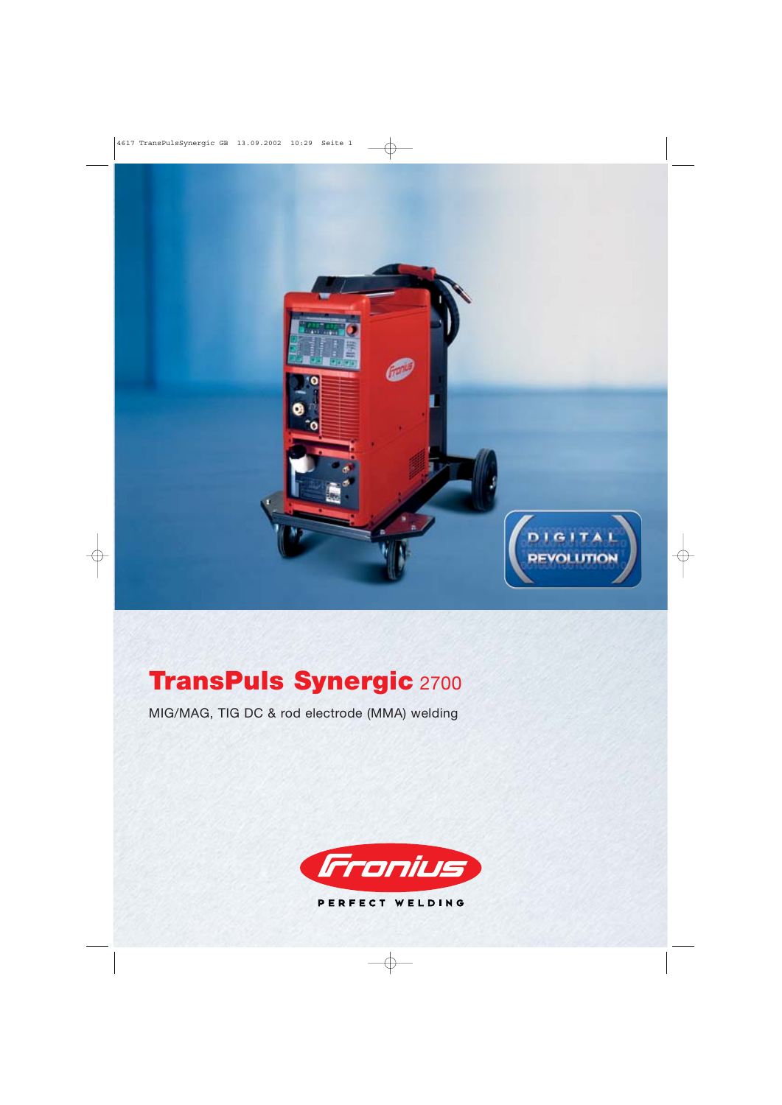

# **TransPuls Synergic** 2700

MIG/MAG, TIG DC & rod electrode (MMA) welding

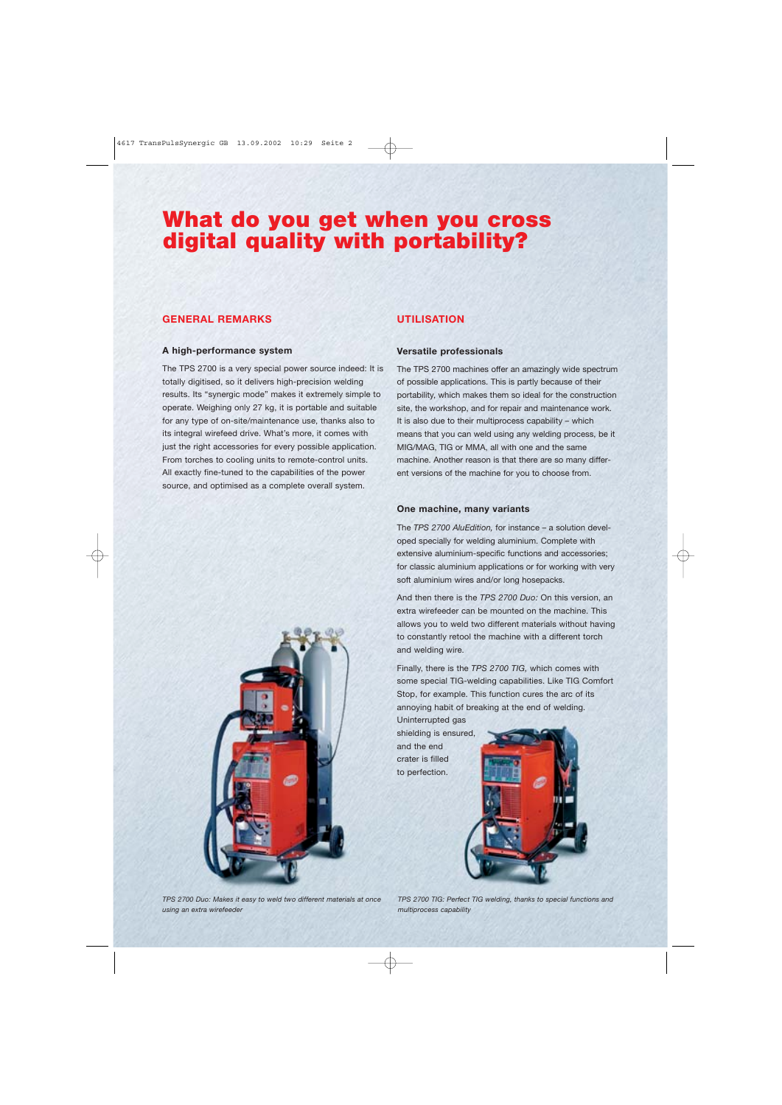## **What do you get when you cross digital quality with portability?**

## **GENERAL REMARKS**

## **A high-performance system**

The TPS 2700 is a very special power source indeed: It is totally digitised, so it delivers high-precision welding results. Its "synergic mode" makes it extremely simple to operate. Weighing only 27 kg, it is portable and suitable for any type of on-site/maintenance use, thanks also to its integral wirefeed drive. What's more, it comes with just the right accessories for every possible application. From torches to cooling units to remote-control units. All exactly fine-tuned to the capabilities of the power source, and optimised as a complete overall system.

## **UTILISATION**

## **Versatile professionals**

The TPS 2700 machines offer an amazingly wide spectrum of possible applications. This is partly because of their portability, which makes them so ideal for the construction site, the workshop, and for repair and maintenance work. It is also due to their multiprocess capability – which means that you can weld using any welding process, be it MIG/MAG, TIG or MMA, all with one and the same machine. Another reason is that there are so many different versions of the machine for you to choose from.

## **One machine, many variants**

The *TPS 2700 AluEdition,* for instance – a solution developed specially for welding aluminium. Complete with extensive aluminium-specific functions and accessories; for classic aluminium applications or for working with very soft aluminium wires and/or long hosepacks.

And then there is the *TPS 2700 Duo:* On this version, an extra wirefeeder can be mounted on the machine. This allows you to weld two different materials without having to constantly retool the machine with a different torch and welding wire.

Finally, there is the *TPS 2700 TIG,* which comes with some special TIG-welding capabilities. Like TIG Comfort Stop, for example. This function cures the arc of its annoying habit of breaking at the end of welding.

Uninterrupted gas shielding is ensured, and the end crater is filled to perfection.





*TPS 2700 Duo: Makes it easy to weld two different materials at once using an extra wirefeeder*

*TPS 2700 TIG: Perfect TIG welding, thanks to special functions and multiprocess capability*

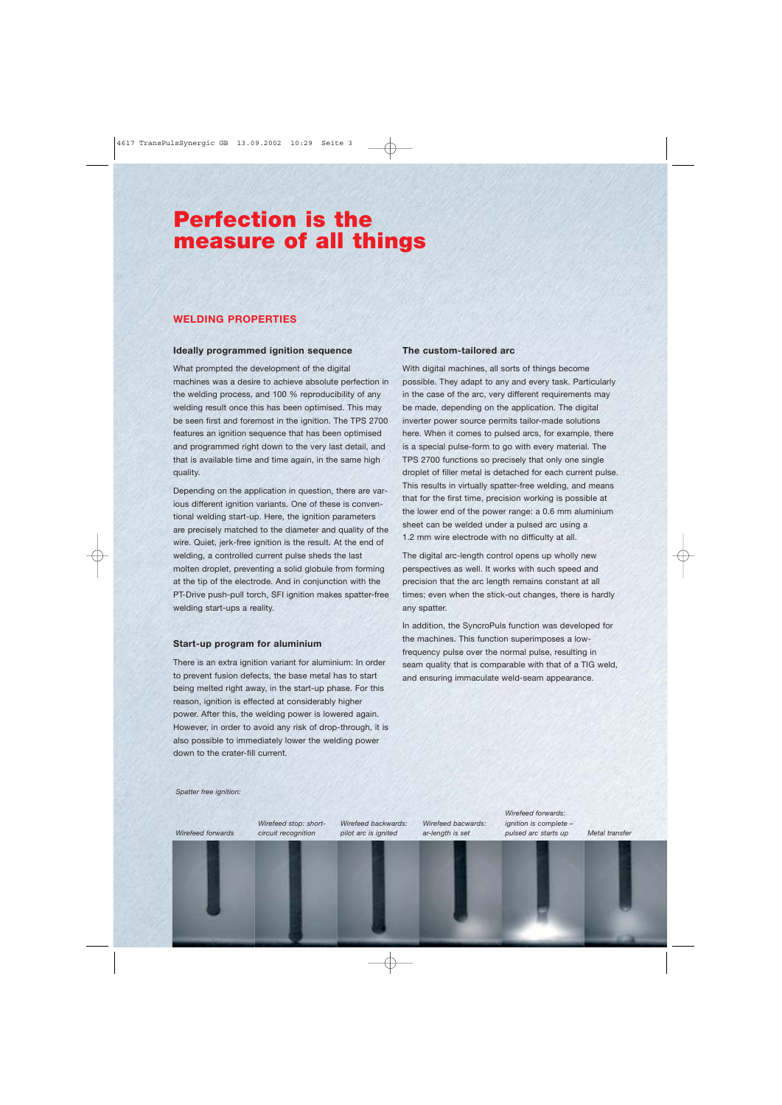## **Perfection is the measure of all things**

## **WELDING PROPERTIES**

#### **Ideally programmed ignition sequence**

What prompted the development of the digital machines was a desire to achieve absolute perfection in the welding process, and 100 % reproducibility of any welding result once this has been optimised. This may be seen first and foremost in the ignition. The TPS 2700 features an ignition sequence that has been optimised and programmed right down to the very last detail, and that is available time and time again, in the same high quality.

Depending on the application in question, there are various different ignition variants. One of these is conventional welding start-up. Here, the ignition parameters are precisely matched to the diameter and quality of the wire. Quiet, jerk-free ignition is the result. At the end of welding, a controlled current pulse sheds the last molten droplet, preventing a solid globule from forming at the tip of the electrode. And in conjunction with the PT-Drive push-pull torch, SFI ignition makes spatter-free welding start-ups a reality.

## **Start-up program for aluminium**

There is an extra ignition variant for aluminium: In order to prevent fusion defects, the base metal has to start being melted right away, in the start-up phase. For this reason, ignition is effected at considerably higher power. After this, the welding power is lowered again. However, in order to avoid any risk of drop-through, it is also possible to immediately lower the welding power down to the crater-fill current.

#### **The custom-tailored arc**

With digital machines, all sorts of things become possible. They adapt to any and every task. Particularly in the case of the arc, very different requirements may be made, depending on the application. The digital inverter power source permits tailor-made solutions here. When it comes to pulsed arcs, for example, there is a special pulse-form to go with every material. The TPS 2700 functions so precisely that only one single droplet of filler metal is detached for each current pulse. This results in virtually spatter-free welding, and means that for the first time, precision working is possible at the lower end of the power range: a 0.6 mm aluminium sheet can be welded under a pulsed arc using a 1.2 mm wire electrode with no difficulty at all.

The digital arc-length control opens up wholly new perspectives as well. It works with such speed and precision that the arc length remains constant at all times; even when the stick-out changes, there is hardly any spatter.

In addition, the SyncroPuls function was developed for the machines. This function superimposes a lowfrequency pulse over the normal pulse, resulting in seam quality that is comparable with that of a TIG weld, and ensuring immaculate weld-seam appearance.

*Spatter free ignition:*

*Wirefeed forwards*

*Wirefeed stop: shortcircuit recognition*

*Wirefeed backwards: pilot arc is ignited*

*Wirefeed bacwards: ar-length is set*

*Wirefeed forwards: ignition is complete – pulsed arc starts up Metal transfer*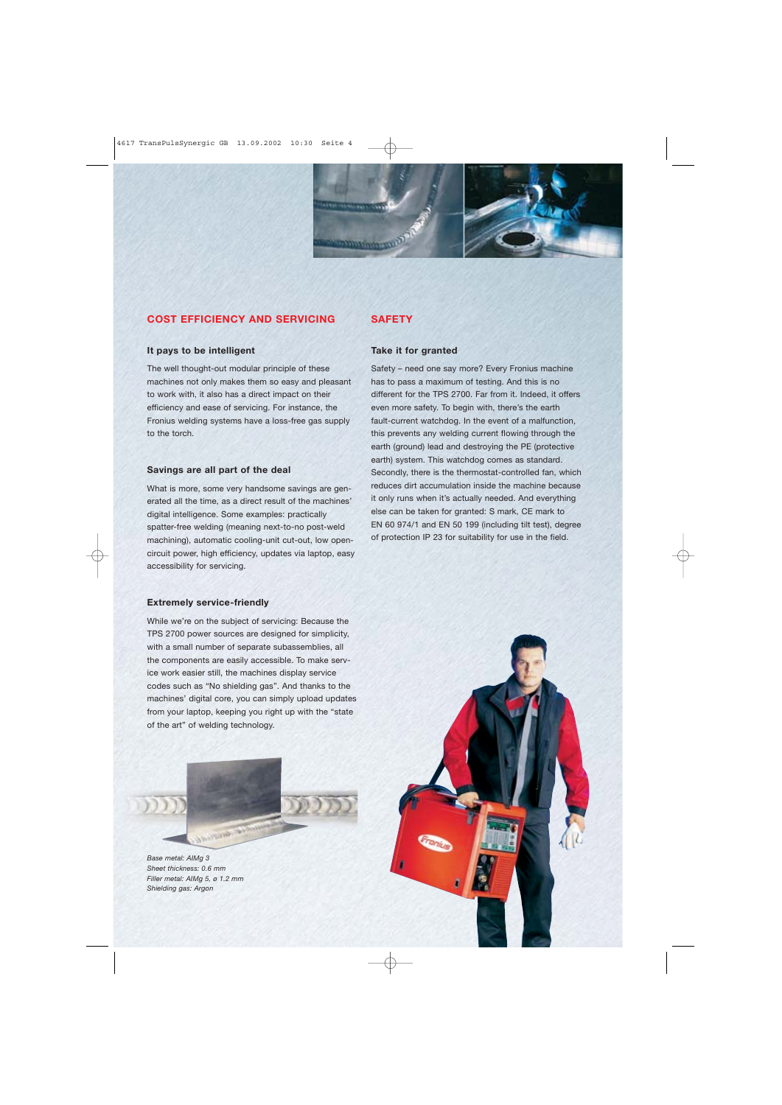

## **COST EFFICIENCY AND SERVICING**

## **It pays to be intelligent**

The well thought-out modular principle of these machines not only makes them so easy and pleasant to work with, it also has a direct impact on their efficiency and ease of servicing. For instance, the Fronius welding systems have a loss-free gas supply to the torch.

## **Savings are all part of the deal**

What is more, some very handsome savings are generated all the time, as a direct result of the machines' digital intelligence. Some examples: practically spatter-free welding (meaning next-to-no post-weld machining), automatic cooling-unit cut-out, low opencircuit power, high efficiency, updates via laptop, easy accessibility for servicing.

## **Extremely service-friendly**

While we're on the subject of servicing: Because the TPS 2700 power sources are designed for simplicity, with a small number of separate subassemblies, all the components are easily accessible. To make service work easier still, the machines display service codes such as "No shielding gas". And thanks to the machines' digital core, you can simply upload updates from your laptop, keeping you right up with the "state of the art" of welding technology.

*Base metal: AIMg 3 Sheet thickness: 0.6 mm Filler metal: AIMg 5, ø 1.2 mm Shielding gas: Argon*

## **SAFETY**

## **Take it for granted**

Safety – need one say more? Every Fronius machine has to pass a maximum of testing. And this is no different for the TPS 2700. Far from it. Indeed, it offers even more safety. To begin with, there's the earth fault-current watchdog. In the event of a malfunction, this prevents any welding current flowing through the earth (ground) lead and destroying the PE (protective earth) system. This watchdog comes as standard. Secondly, there is the thermostat-controlled fan, which reduces dirt accumulation inside the machine because it only runs when it's actually needed. And everything else can be taken for granted: S mark, CE mark to EN 60 974/1 and EN 50 199 (including tilt test), degree of protection IP 23 for suitability for use in the field.

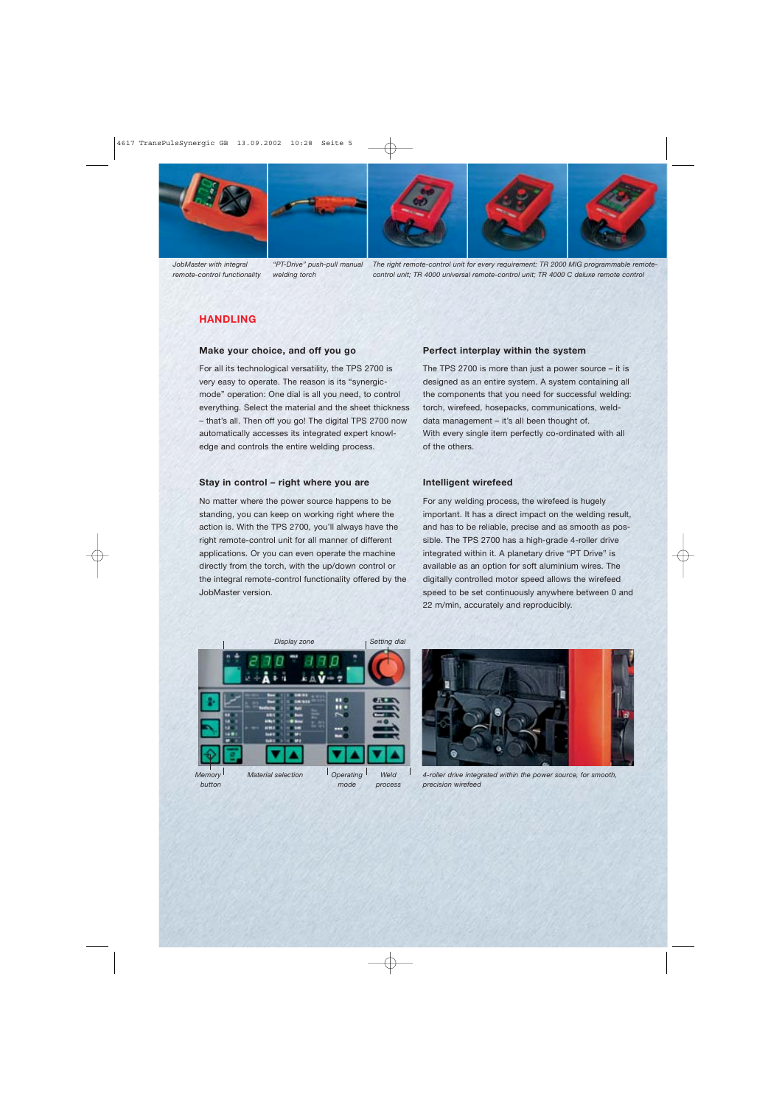







*JobMaster with integral remote-control functionality*

*"PT-Drive" push-pull manual welding torch*

*The right remote-control unit for every requirement: TR 2000 MIG programmable remotecontrol unit; TR 4000 universal remote-control unit; TR 4000 C deluxe remote control*

## **HANDLING**

## **Make your choice, and off you go**

For all its technological versatility, the TPS 2700 is very easy to operate. The reason is its "synergicmode" operation: One dial is all you need, to control everything. Select the material and the sheet thickness – that's all. Then off you go! The digital TPS 2700 now automatically accesses its integrated expert knowledge and controls the entire welding process.

## **Stay in control – right where you are**

No matter where the power source happens to be standing, you can keep on working right where the action is. With the TPS 2700, you'll always have the right remote-control unit for all manner of different applications. Or you can even operate the machine directly from the torch, with the up/down control or the integral remote-control functionality offered by the JobMaster version.

## **Perfect interplay within the system**

The TPS 2700 is more than just a power source – it is designed as an entire system. A system containing all the components that you need for successful welding: torch, wirefeed, hosepacks, communications, welddata management – it's all been thought of. With every single item perfectly co-ordinated with all of the others.

## **Intelligent wirefeed**

For any welding process, the wirefeed is hugely important. It has a direct impact on the welding result, and has to be reliable, precise and as smooth as possible. The TPS 2700 has a high-grade 4-roller drive integrated within it. A planetary drive "PT Drive" is available as an option for soft aluminium wires. The digitally controlled motor speed allows the wirefeed speed to be set continuously anywhere between 0 and 22 m/min, accurately and reproducibly.





*4-roller drive integrated within the power source, for smooth, precision wirefeed*